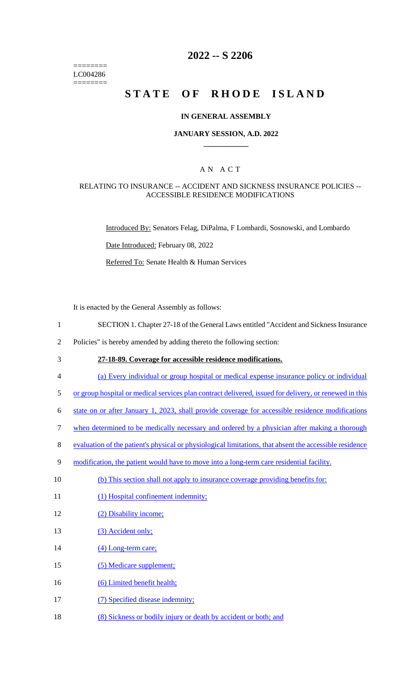======== LC004286 ========

## **2022 -- S 2206**

# STATE OF RHODE ISLAND

#### **IN GENERAL ASSEMBLY**

#### **JANUARY SESSION, A.D. 2022 \_\_\_\_\_\_\_\_\_\_\_\_**

### A N A C T

#### RELATING TO INSURANCE -- ACCIDENT AND SICKNESS INSURANCE POLICIES -- ACCESSIBLE RESIDENCE MODIFICATIONS

Introduced By: Senators Felag, DiPalma, F Lombardi, Sosnowski, and Lombardo

Date Introduced: February 08, 2022

Referred To: Senate Health & Human Services

It is enacted by the General Assembly as follows:

- 1 SECTION 1. Chapter 27-18 of the General Laws entitled "Accident and Sickness Insurance
- 2 Policies" is hereby amended by adding thereto the following section:
- 3 **27-18-89. Coverage for accessible residence modifications.**
- 4 (a) Every individual or group hospital or medical expense insurance policy or individual
- 5 or group hospital or medical services plan contract delivered, issued for delivery, or renewed in this
- 6 state on or after January 1, 2023, shall provide coverage for accessible residence modifications
- 7 when determined to be medically necessary and ordered by a physician after making a thorough
- 8 evaluation of the patient's physical or physiological limitations, that absent the accessible residence
- 9 modification, the patient would have to move into a long-term care residential facility.
- 10 (b) This section shall not apply to insurance coverage providing benefits for:
- 11 (1) Hospital confinement indemnity;
- 12 (2) Disability income;
- 13 (3) Accident only;
- 14 (4) Long-term care;
- 15 (5) Medicare supplement;
- 16 (6) Limited benefit health;
- 17 (7) Specified disease indemnity;
- 18 (8) Sickness or bodily injury or death by accident or both; and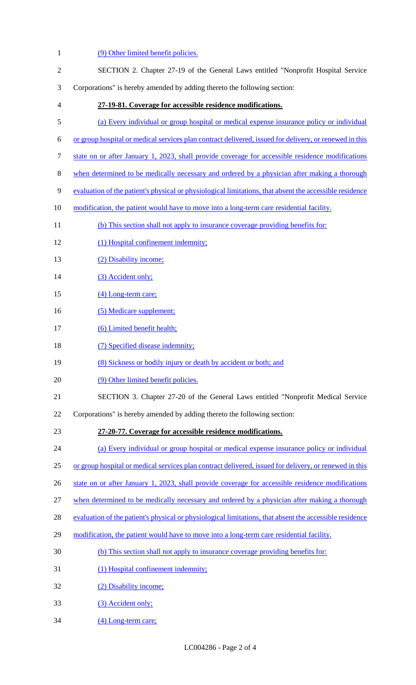1 (9) Other limited benefit policies. 2 SECTION 2. Chapter 27-19 of the General Laws entitled "Nonprofit Hospital Service 3 Corporations" is hereby amended by adding thereto the following section: 4 **27-19-81. Coverage for accessible residence modifications.**  5 (a) Every individual or group hospital or medical expense insurance policy or individual 6 or group hospital or medical services plan contract delivered, issued for delivery, or renewed in this 7 state on or after January 1, 2023, shall provide coverage for accessible residence modifications 8 when determined to be medically necessary and ordered by a physician after making a thorough 9 evaluation of the patient's physical or physiological limitations, that absent the accessible residence 10 modification, the patient would have to move into a long-term care residential facility. 11 (b) This section shall not apply to insurance coverage providing benefits for: 12 (1) Hospital confinement indemnity; 13 (2) Disability income; 14 (3) Accident only; 15 (4) Long-term care; 16 (5) Medicare supplement; 17 (6) Limited benefit health; 18 (7) Specified disease indemnity; 19 (8) Sickness or bodily injury or death by accident or both; and 20 (9) Other limited benefit policies. 21 SECTION 3. Chapter 27-20 of the General Laws entitled "Nonprofit Medical Service 22 Corporations" is hereby amended by adding thereto the following section: 23 **27-20-77. Coverage for accessible residence modifications.**  24 (a) Every individual or group hospital or medical expense insurance policy or individual 25 or group hospital or medical services plan contract delivered, issued for delivery, or renewed in this 26 state on or after January 1, 2023, shall provide coverage for accessible residence modifications 27 when determined to be medically necessary and ordered by a physician after making a thorough 28 evaluation of the patient's physical or physiological limitations, that absent the accessible residence 29 modification, the patient would have to move into a long-term care residential facility. 30 (b) This section shall not apply to insurance coverage providing benefits for: 31 (1) Hospital confinement indemnity; 32 (2) Disability income; 33 (3) Accident only; 34 (4) Long-term care;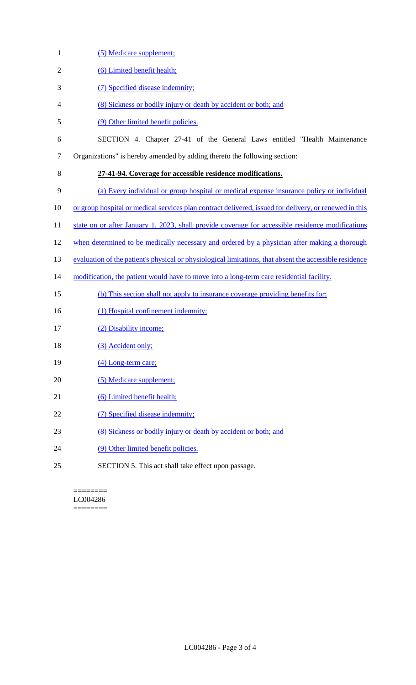- 1 (5) Medicare supplement; 2 (6) Limited benefit health; 3 (7) Specified disease indemnity; 4 (8) Sickness or bodily injury or death by accident or both; and 5 (9) Other limited benefit policies. 6 SECTION 4. Chapter 27-41 of the General Laws entitled "Health Maintenance 7 Organizations" is hereby amended by adding thereto the following section: 8 **27-41-94. Coverage for accessible residence modifications.**  9 (a) Every individual or group hospital or medical expense insurance policy or individual 10 or group hospital or medical services plan contract delivered, issued for delivery, or renewed in this 11 state on or after January 1, 2023, shall provide coverage for accessible residence modifications 12 when determined to be medically necessary and ordered by a physician after making a thorough 13 evaluation of the patient's physical or physiological limitations, that absent the accessible residence 14 modification, the patient would have to move into a long-term care residential facility. 15 (b) This section shall not apply to insurance coverage providing benefits for: 16 (1) Hospital confinement indemnity; 17 (2) Disability income; 18 (3) Accident only; 19 (4) Long-term care; 20 (5) Medicare supplement; 21 (6) Limited benefit health; 22 (7) Specified disease indemnity; 23 (8) Sickness or bodily injury or death by accident or both; and 24 (9) Other limited benefit policies.
	- ======== LC004286 ========

25 SECTION 5. This act shall take effect upon passage.